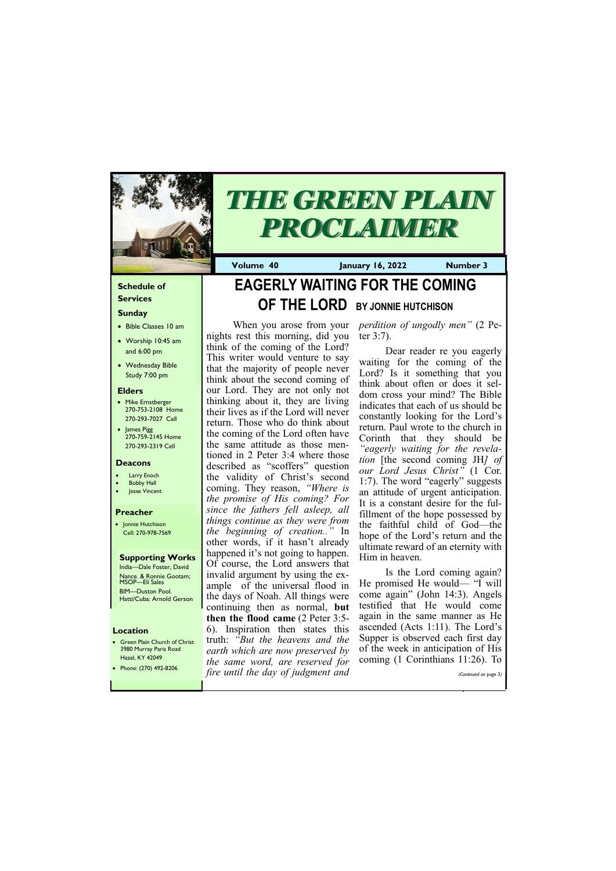### **Schedule of Services**

## **Sunday**

- Bible Classes 10 am
- Worship 10:45 am and 6:00 pm
- Wednesday Bible Study 7:00 pm

• Green Plain Church of Christ 3980 Murray Paris Road  $H<sub>270</sub>$  KY 42049

### **Elders**

- Mike Ernstberger 270-753-2108 Home 270-293-7027 Cell
- James Pigg 270-759-2145 Home 270-293-2319 Cell

### **Location**



# *THE GREEN PLAIN PROCLAIMER*

**Volume 40 January 16, 2022 Number 3**

### **Deacons**

- **Larry Enoch**
- **Bobby Hall**
- Jesse Vincent

### **Preacher**

• Jonnie Hutchison Cell: 270-978-7569

#### **Supporting Works** India—Dale Foster, David Nance. & Ronnie Gootam; MSOP—Eli Sales

BIM—Duston Pool. Hatti/Cuba: Arnold Gerson

# **EAGERLY WAITING FOR THE COMING OF THE LORD BY JONNIE HUTCHISON**

nights rest this morning, did you think of the coming of the Lord? This writer would venture to say that the majority of people never think about the second coming of our Lord. They are not only not thinking about it, they are living their lives as if the Lord will never return. Those who do think about the coming of the Lord often have the same attitude as those mentioned in 2 Peter 3:4 where those described as "scoffers" question the validity of Christ's second coming. They reason, *"Where is the promise of His coming? For since the fathers fell asleep, all things continue as they were from the beginning of creation.."* In other words, if it hasn't already happened it's not going to happen. Of course, the Lord answers that invalid argument by using the example of the universal flood in the days of Noah. All things were continuing then as normal, **but then the flood came** (2 Peter 3:5- 6). Inspiration then states this truth: *"But the heavens and the earth which are now preserved by* 

When you arose from your *perdition of ungodly men"* (2 Peter 3:7).

| Hazel, KY 42049         | the same word, are reserved for coming (1 Corinthians 11:26). To |                       |
|-------------------------|------------------------------------------------------------------|-----------------------|
| • Phone: (270) 492-8206 | fire until the day of judgment and                               | (Continued on page 3) |
|                         |                                                                  |                       |

Dear reader re you eagerly waiting for the coming of the Lord? Is it something that you think about often or does it seldom cross your mind? The Bible indicates that each of us should be constantly looking for the Lord's return. Paul wrote to the church in Corinth that they should be *"eagerly waiting for the revelation* [the second coming JH*] of our Lord Jesus Christ"* (1 Cor. 1:7). The word "eagerly" suggests an attitude of urgent anticipation. It is a constant desire for the fulfillment of the hope possessed by the faithful child of God—the hope of the Lord's return and the ultimate reward of an eternity with Him in heaven.

Is the Lord coming again? He promised He would— "I will come again" (John 14:3). Angels testified that He would come again in the same manner as He ascended (Acts 1:11). The Lord's Supper is observed each first day of the week in anticipation of His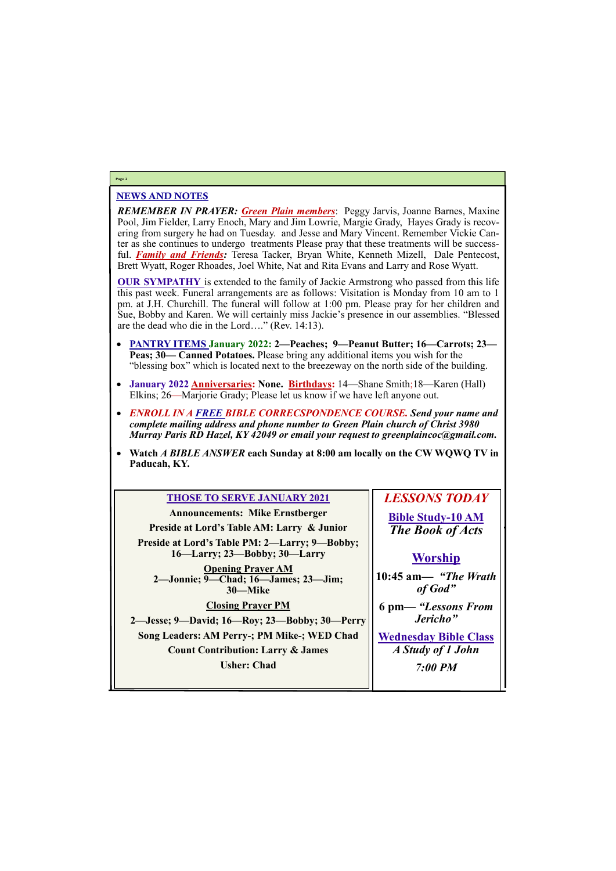### NEWS AND NOTES

*REMEMBER IN PRAYER: Green Plain members*: Peggy Jarvis, Joanne Barnes, Maxine Pool, Jim Fielder, Larry Enoch, Mary and Jim Lowrie, Margie Grady, Hayes Grady is recovering from surgery he had on Tuesday. and Jesse and Mary Vincent. Remember Vickie Canter as she continues to undergo treatments Please pray that these treatments will be successful. *Family and Friends:* Teresa Tacker, Bryan White, Kenneth Mizell, Dale Pentecost, Brett Wyatt, Roger Rhoades, Joel White, Nat and Rita Evans and Larry and Rose Wyatt.

**OUR SYMPATHY** is extended to the family of Jackie Armstrong who passed from this life this past week. Funeral arrangements are as follows: Visitation is Monday from 10 am to 1 pm. at J.H. Churchill. The funeral will follow at 1:00 pm. Please pray for her children and Sue, Bobby and Karen. We will certainly miss Jackie's presence in our assemblies. "Blessed are the dead who die in the Lord…." (Rev. 14:13).

- **PANTRY ITEMS January 2022: 2—Peaches; 9—Peanut Butter; 16—Carrots; 23— Peas; 30— Canned Potatoes.** Please bring any additional items you wish for the "blessing box" which is located next to the breezeway on the north side of the building.
- **January 2022 Anniversaries: None. Birthdays:** 14—Shane Smith;18—Karen (Hall) Elkins; 26—Marjorie Grady; Please let us know if we have left anyone out.
- *ENROLL IN A FREE BIBLE CORRECSPONDENCE COURSE. Send your name and complete mailing address and phone number to Green Plain church of Christ 3980 Murray Paris RD Hazel, KY 42049 or email your request to greenplaincoc@gmail.com.*
- **Watch** *A BIBLE ANSWER* **each Sunday at 8:00 am locally on the CW WQWQ TV in Paducah, KY.**

# **Page 2**

### **THOSE TO SERVE JANUARY 2021**

**Announcements: Mike Ernstberger Preside at Lord's Table AM: Larry & Junior Preside at Lord's Table PM: 2—Larry; 9—Bobby; 16—Larry; 23—Bobby; 30—Larry Opening Prayer AM 2—Jonnie; 9—Chad; 16—James; 23—Jim; 30—Mike**

**Closing Prayer PM 2—Jesse; 9—David; 16—Roy; 23—Bobby; 30—Perry Song Leaders: AM Perry-; PM Mike-; WED Chad Count Contribution: Larry & James**

*LESSONS TODAY* **Bible Study-10 AM** *The Book of Acts*

# **Worship**

**10:45 am***— "The Wrath of God"*



**6 pm—** *"Lessons From Jericho"*

**Wednesday Bible Class** *A Study of 1 John*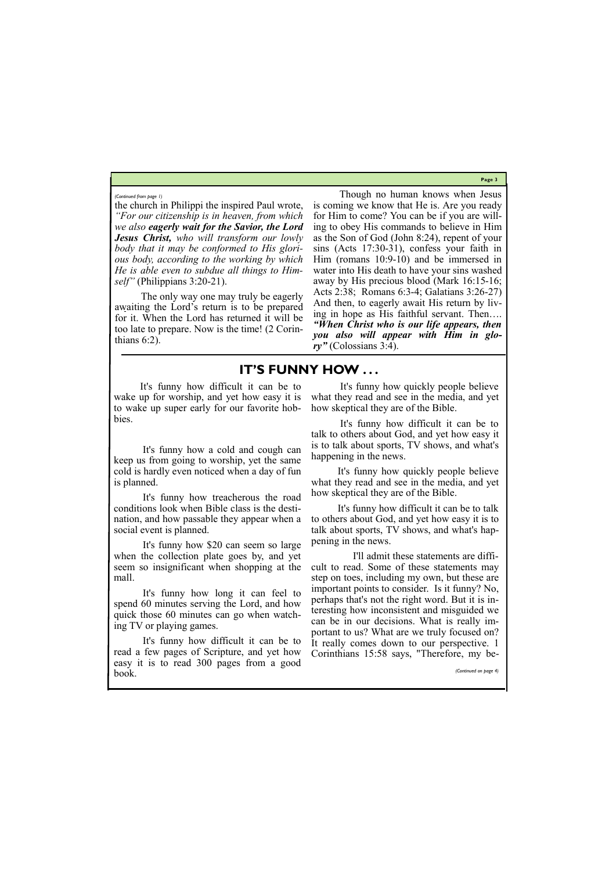**Page 3**

the church in Philippi the inspired Paul wrote, *"For our citizenship is in heaven, from which we also eagerly wait for the Savior, the Lord Jesus Christ, who will transform our lowly body that it may be conformed to His glorious body, according to the working by which He is able even to subdue all things to Himself"* (Philippians 3:20-21).

The only way one may truly be eagerly awaiting the Lord's return is to be prepared for it. When the Lord has returned it will be too late to prepare. Now is the time! (2 Corinthians 6:2).

Though no human knows when Jesus is coming we know that He is. Are you ready for Him to come? You can be if you are willing to obey His commands to believe in Him as the Son of God (John 8:24), repent of your sins (Acts 17:30-31), confess your faith in Him (romans 10:9-10) and be immersed in water into His death to have your sins washed away by His precious blood (Mark 16:15-16; Acts 2:38; Romans 6:3-4; Galatians 3:26-27) And then, to eagerly await His return by living in hope as His faithful servant. Then…. *"When Christ who is our life appears, then you also will appear with Him in glory"* (Colossians 3:4).

*(Continued from page 1)*

# **IT'S FUNNY HOW . . .**

It's funny how difficult it can be to wake up for worship, and yet how easy it is to wake up super early for our favorite hobbies.

It's funny how a cold and cough can keep us from going to worship, yet the same cold is hardly even noticed when a day of fun is planned.

It's funny how treacherous the road conditions look when Bible class is the destination, and how passable they appear when a social event is planned.

It's funny how \$20 can seem so large when the collection plate goes by, and yet seem so insignificant when shopping at the mall.

It's funny how long it can feel to spend 60 minutes serving the Lord, and how quick those 60 minutes can go when watching TV or playing games.

It's funny how difficult it can be to read a few pages of Scripture, and yet how

It's funny how quickly people believe what they read and see in the media, and yet how skeptical they are of the Bible.

It's funny how difficult it can be to talk to others about God, and yet how easy it is to talk about sports, TV shows, and what's happening in the news.

It's funny how quickly people believe what they read and see in the media, and yet how skeptical they are of the Bible.

It's funny how difficult it can be to talk to others about God, and yet how easy it is to talk about sports, TV shows, and what's happening in the news.

easy it is to read 300 pages from a good book. *(Continued on page 4)*

 I'll admit these statements are difficult to read. Some of these statements may step on toes, including my own, but these are important points to consider. Is it funny? No, perhaps that's not the right word. But it is interesting how inconsistent and misguided we can be in our decisions. What is really important to us? What are we truly focused on? It really comes down to our perspective. 1 Corinthians 15:58 says, "Therefore, my be-